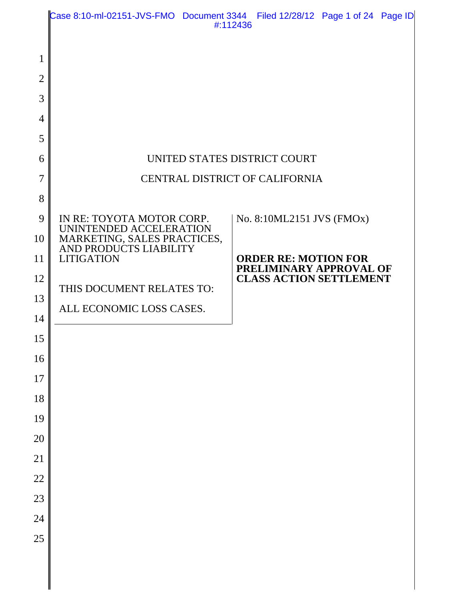|                | Case 8:10-ml-02151-JVS-FMO Document 3344 Filed 12/28/12 Page 1 of 24 Page ID | #:112436 |                                                        |  |
|----------------|------------------------------------------------------------------------------|----------|--------------------------------------------------------|--|
|                |                                                                              |          |                                                        |  |
| $\mathbf{1}$   |                                                                              |          |                                                        |  |
| $\overline{2}$ |                                                                              |          |                                                        |  |
| 3              |                                                                              |          |                                                        |  |
| $\overline{4}$ |                                                                              |          |                                                        |  |
| 5              |                                                                              |          |                                                        |  |
| 6              | UNITED STATES DISTRICT COURT                                                 |          |                                                        |  |
| $\overline{7}$ | CENTRAL DISTRICT OF CALIFORNIA                                               |          |                                                        |  |
| 8              |                                                                              |          |                                                        |  |
| 9              | IN RE: TOYOTA MOTOR CORP.<br>UNINTENDED ACCELERATION                         |          | No. 8:10ML2151 JVS (FMOx)                              |  |
| 10             | MARKETING, SALES PRACTICES,<br>AND PRODUCTS LIABILITY                        |          |                                                        |  |
| 11             | <b>LITIGATION</b>                                                            |          | <b>ORDER RE: MOTION FOR</b><br>PRELIMINARY APPROVAL OF |  |
| 12             | THIS DOCUMENT RELATES TO:                                                    |          | <b>CLASS ACTION SETTLEMENT</b>                         |  |
| 13             | ALL ECONOMIC LOSS CASES.                                                     |          |                                                        |  |
| 14             |                                                                              |          |                                                        |  |
| 15             |                                                                              |          |                                                        |  |
| 16             |                                                                              |          |                                                        |  |
| 17             |                                                                              |          |                                                        |  |
| 18             |                                                                              |          |                                                        |  |
| 19             |                                                                              |          |                                                        |  |
| 20             |                                                                              |          |                                                        |  |
| 21             |                                                                              |          |                                                        |  |
| 22             |                                                                              |          |                                                        |  |
| 23             |                                                                              |          |                                                        |  |
| 24             |                                                                              |          |                                                        |  |
| 25             |                                                                              |          |                                                        |  |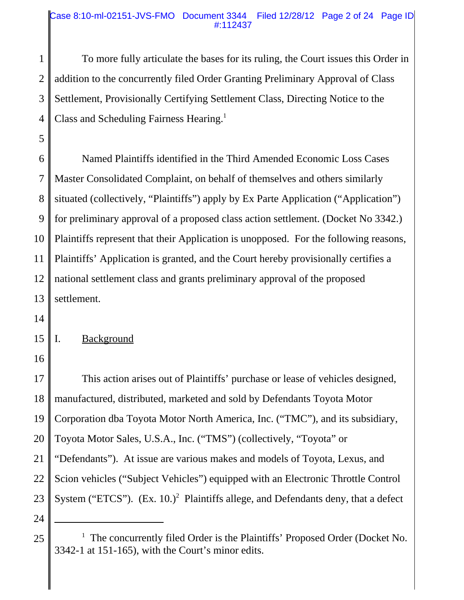#### Case 8:10-ml-02151-JVS-FMO Document 3344 Filed 12/28/12 Page 2 of 24 Page ID #:112437

1 2 3 4 To more fully articulate the bases for its ruling, the Court issues this Order in addition to the concurrently filed Order Granting Preliminary Approval of Class Settlement, Provisionally Certifying Settlement Class, Directing Notice to the Class and Scheduling Fairness Hearing.<sup>1</sup>

6 7 8 9 10 11 12 13 Named Plaintiffs identified in the Third Amended Economic Loss Cases Master Consolidated Complaint, on behalf of themselves and others similarly situated (collectively, "Plaintiffs") apply by Ex Parte Application ("Application") for preliminary approval of a proposed class action settlement. (Docket No 3342.) Plaintiffs represent that their Application is unopposed. For the following reasons, Plaintiffs' Application is granted, and the Court hereby provisionally certifies a national settlement class and grants preliminary approval of the proposed settlement.

14

5

#### 15 I. Background

16

17 18 19 20 21 22 23 This action arises out of Plaintiffs' purchase or lease of vehicles designed, manufactured, distributed, marketed and sold by Defendants Toyota Motor Corporation dba Toyota Motor North America, Inc. ("TMC"), and its subsidiary, Toyota Motor Sales, U.S.A., Inc. ("TMS") (collectively, "Toyota" or "Defendants"). At issue are various makes and models of Toyota, Lexus, and Scion vehicles ("Subject Vehicles") equipped with an Electronic Throttle Control System ("ETCS").  $(Ex. 10.)^2$  Plaintiffs allege, and Defendants deny, that a defect

<sup>25</sup> <sup>1</sup>  $<sup>1</sup>$  The concurrently filed Order is the Plaintiffs' Proposed Order (Docket No.</sup> 3342-1 at 151-165), with the Court's minor edits.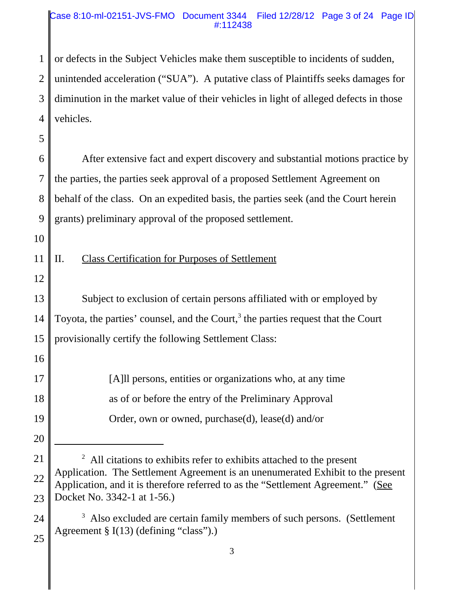#### Case 8:10-ml-02151-JVS-FMO Document 3344 Filed 12/28/12 Page 3 of 24 Page ID #:112438

1 2 3 4 or defects in the Subject Vehicles make them susceptible to incidents of sudden, unintended acceleration ("SUA"). A putative class of Plaintiffs seeks damages for diminution in the market value of their vehicles in light of alleged defects in those vehicles.

5

6 7 8 9 After extensive fact and expert discovery and substantial motions practice by the parties, the parties seek approval of a proposed Settlement Agreement on behalf of the class. On an expedited basis, the parties seek (and the Court herein grants) preliminary approval of the proposed settlement.

10

11

# II. Class Certification for Purposes of Settlement

12

16

20

13 14 15 Subject to exclusion of certain persons affiliated with or employed by Toyota, the parties' counsel, and the Court, $3$  the parties request that the Court provisionally certify the following Settlement Class:

17 18 19 [A]ll persons, entities or organizations who, at any time as of or before the entry of the Preliminary Approval Order, own or owned, purchase(d), lease(d) and/or

#### 24 <sup>3</sup> Also excluded are certain family members of such persons. (Settlement Agreement § I(13) (defining "class").)

<sup>21</sup> 22 23  $2$  All citations to exhibits refer to exhibits attached to the present Application. The Settlement Agreement is an unenumerated Exhibit to the present Application, and it is therefore referred to as the "Settlement Agreement." (See Docket No. 3342-1 at 1-56.)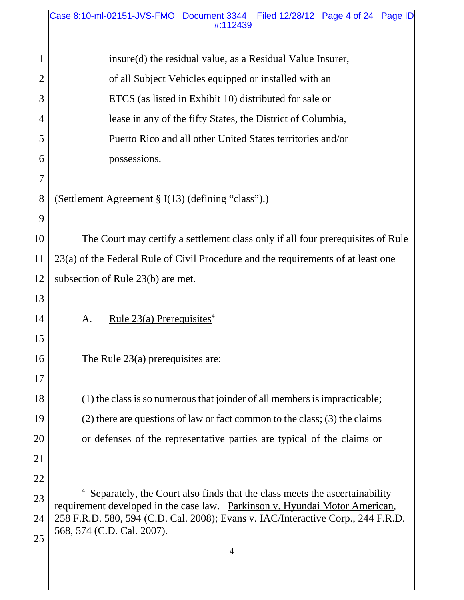| 1              | insure(d) the residual value, as a Residual Value Insurer,                                                                                                |  |  |
|----------------|-----------------------------------------------------------------------------------------------------------------------------------------------------------|--|--|
| $\overline{2}$ | of all Subject Vehicles equipped or installed with an                                                                                                     |  |  |
| 3              | ETCS (as listed in Exhibit 10) distributed for sale or                                                                                                    |  |  |
| 4              | lease in any of the fifty States, the District of Columbia,                                                                                               |  |  |
| 5              | Puerto Rico and all other United States territories and/or                                                                                                |  |  |
| 6              | possessions.                                                                                                                                              |  |  |
| 7              |                                                                                                                                                           |  |  |
| 8              | (Settlement Agreement § I(13) (defining "class").)                                                                                                        |  |  |
| 9              |                                                                                                                                                           |  |  |
| 10             | The Court may certify a settlement class only if all four prerequisites of Rule                                                                           |  |  |
| 11             | 23(a) of the Federal Rule of Civil Procedure and the requirements of at least one                                                                         |  |  |
| 12             | subsection of Rule 23(b) are met.                                                                                                                         |  |  |
| 13             |                                                                                                                                                           |  |  |
| 14             | <u>Rule 23(a) Prerequisites</u> <sup>4</sup><br>A.                                                                                                        |  |  |
| 15             |                                                                                                                                                           |  |  |
| 16             | The Rule $23(a)$ prerequisites are:                                                                                                                       |  |  |
| 17             |                                                                                                                                                           |  |  |
| 18             | (1) the class is so numerous that joinder of all members is impracticable;                                                                                |  |  |
| 19             | $(2)$ there are questions of law or fact common to the class; (3) the claims                                                                              |  |  |
| 20             | or defenses of the representative parties are typical of the claims or                                                                                    |  |  |
| 21             |                                                                                                                                                           |  |  |
| 22             |                                                                                                                                                           |  |  |
| 23             | Separately, the Court also finds that the class meets the ascertainability<br>requirement developed in the case law. Parkinson v. Hyundai Motor American, |  |  |
| 24             | 258 F.R.D. 580, 594 (C.D. Cal. 2008); Evans v. IAC/Interactive Corp., 244 F.R.D.                                                                          |  |  |

<sup>568, 574 (</sup>C.D. Cal. 2007).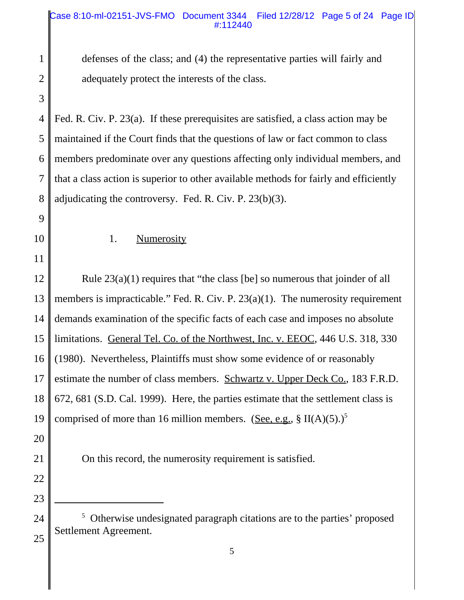#### Case 8:10-ml-02151-JVS-FMO Document 3344 Filed 12/28/12 Page 5 of 24 Page ID #:112440

defenses of the class; and (4) the representative parties will fairly and adequately protect the interests of the class.

4 5 6 7 8 Fed. R. Civ. P. 23(a). If these prerequisites are satisfied, a class action may be maintained if the Court finds that the questions of law or fact common to class members predominate over any questions affecting only individual members, and that a class action is superior to other available methods for fairly and efficiently adjudicating the controversy. Fed. R. Civ. P. 23(b)(3).

9

10

11

1

2

3

1. Numerosity

12 13 14 15 16 17 18 19 Rule 23(a)(1) requires that "the class [be] so numerous that joinder of all members is impracticable." Fed. R. Civ. P. 23(a)(1). The numerosity requirement demands examination of the specific facts of each case and imposes no absolute limitations. General Tel. Co. of the Northwest, Inc. v. EEOC, 446 U.S. 318, 330 (1980). Nevertheless, Plaintiffs must show some evidence of or reasonably estimate the number of class members. Schwartz v. Upper Deck Co., 183 F.R.D. 672, 681 (S.D. Cal. 1999). Here, the parties estimate that the settlement class is comprised of more than 16 million members. (See, e.g.,  $\S II(A)(5)$ .)<sup>5</sup>

- 20
- 21
- 22

23

24

On this record, the numerosity requirement is satisfied.

<sup>&</sup>lt;sup>5</sup> Otherwise undesignated paragraph citations are to the parties' proposed Settlement Agreement.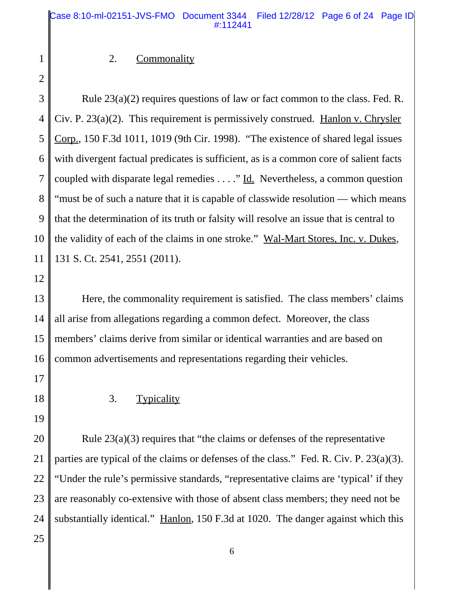#### 2. Commonality

2

3

4

5

6

7

8

9

10

11

1

Rule 23(a)(2) requires questions of law or fact common to the class. Fed. R. Civ. P. 23(a)(2). This requirement is permissively construed. Hanlon v. Chrysler Corp., 150 F.3d 1011, 1019 (9th Cir. 1998). "The existence of shared legal issues with divergent factual predicates is sufficient, as is a common core of salient facts coupled with disparate legal remedies . . . ." Id. Nevertheless, a common question "must be of such a nature that it is capable of classwide resolution — which means that the determination of its truth or falsity will resolve an issue that is central to the validity of each of the claims in one stroke." Wal-Mart Stores, Inc. v. Dukes, 131 S. Ct. 2541, 2551 (2011).

12

13 14 15 16 Here, the commonality requirement is satisfied. The class members' claims all arise from allegations regarding a common defect. Moreover, the class members' claims derive from similar or identical warranties and are based on common advertisements and representations regarding their vehicles.

17

18

19

3. Typicality

20 21 22 23 24 Rule 23(a)(3) requires that "the claims or defenses of the representative parties are typical of the claims or defenses of the class." Fed. R. Civ. P. 23(a)(3). "Under the rule's permissive standards, "representative claims are 'typical' if they are reasonably co-extensive with those of absent class members; they need not be substantially identical." Hanlon, 150 F.3d at 1020. The danger against which this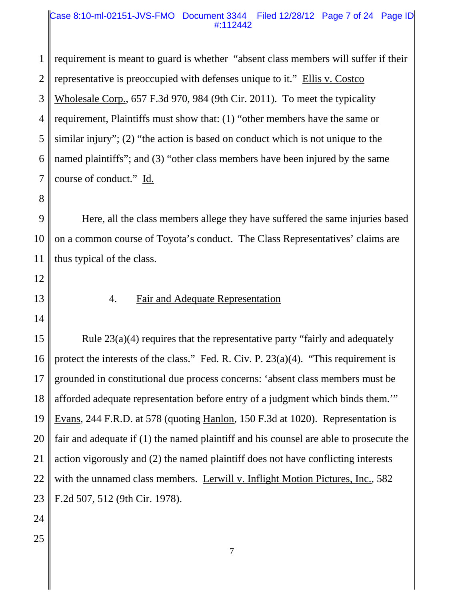#### Case 8:10-ml-02151-JVS-FMO Document 3344 Filed 12/28/12 Page 7 of 24 Page ID #:112442

1 2 3 4 5 6 7 requirement is meant to guard is whether "absent class members will suffer if their representative is preoccupied with defenses unique to it." Ellis v. Costco Wholesale Corp., 657 F.3d 970, 984 (9th Cir. 2011). To meet the typicality requirement, Plaintiffs must show that: (1) "other members have the same or similar injury"; (2) "the action is based on conduct which is not unique to the named plaintiffs"; and (3) "other class members have been injured by the same course of conduct." Id.

8

9 10 11 Here, all the class members allege they have suffered the same injuries based on a common course of Toyota's conduct. The Class Representatives' claims are thus typical of the class.

- 12
- 13 14

#### 4. Fair and Adequate Representation

15 16 17 18 19 20 21 22 23 Rule 23(a)(4) requires that the representative party "fairly and adequately protect the interests of the class." Fed. R. Civ. P. 23(a)(4). "This requirement is grounded in constitutional due process concerns: 'absent class members must be afforded adequate representation before entry of a judgment which binds them.'" Evans, 244 F.R.D. at 578 (quoting Hanlon, 150 F.3d at 1020). Representation is fair and adequate if (1) the named plaintiff and his counsel are able to prosecute the action vigorously and (2) the named plaintiff does not have conflicting interests with the unnamed class members. Lerwill v. Inflight Motion Pictures, Inc., 582 F.2d 507, 512 (9th Cir. 1978).

- 24
- 25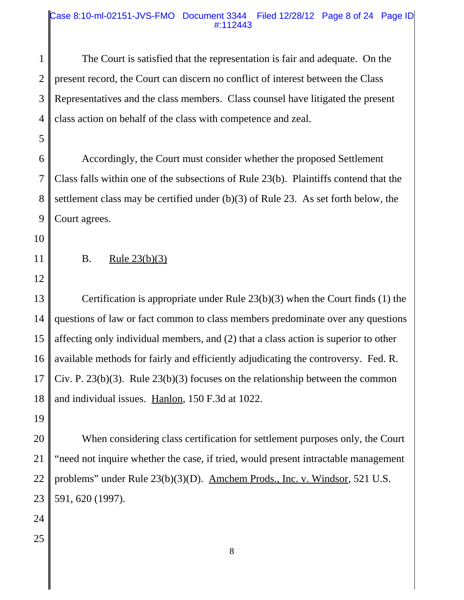#### Case 8:10-ml-02151-JVS-FMO Document 3344 Filed 12/28/12 Page 8 of 24 Page ID #:112443

1 2 3 4 The Court is satisfied that the representation is fair and adequate. On the present record, the Court can discern no conflict of interest between the Class Representatives and the class members. Class counsel have litigated the present class action on behalf of the class with competence and zeal.

6 7 8 9 Accordingly, the Court must consider whether the proposed Settlement Class falls within one of the subsections of Rule 23(b). Plaintiffs contend that the settlement class may be certified under (b)(3) of Rule 23. As set forth below, the Court agrees.

10

5

- 11
- B. Rule 23(b)(3)
- 12

13 14 15 16 17 18 Certification is appropriate under Rule 23(b)(3) when the Court finds (1) the questions of law or fact common to class members predominate over any questions affecting only individual members, and (2) that a class action is superior to other available methods for fairly and efficiently adjudicating the controversy. Fed. R. Civ. P. 23(b)(3). Rule 23(b)(3) focuses on the relationship between the common and individual issues. Hanlon, 150 F.3d at 1022.

19

20 21 22 23 When considering class certification for settlement purposes only, the Court "need not inquire whether the case, if tried, would present intractable management problems" under Rule 23(b)(3)(D). Amchem Prods., Inc. v. Windsor, 521 U.S. 591, 620 (1997).

- 24
- 25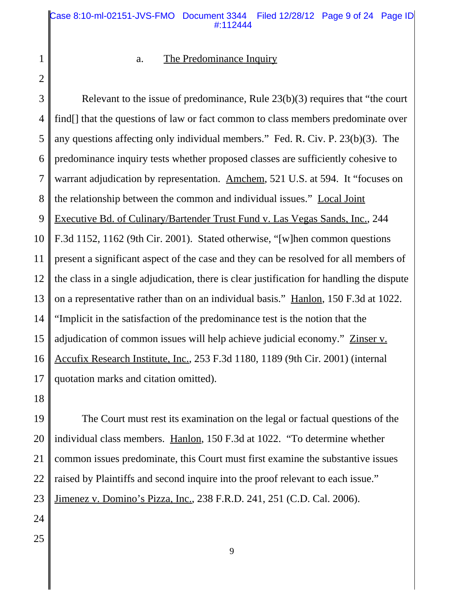1 2

#### a. The Predominance Inquiry

3 4 5 6 7 8 9 10 11 12 13 14 15 16 17 Relevant to the issue of predominance, Rule 23(b)(3) requires that "the court find. If that the questions of law or fact common to class members predominate over any questions affecting only individual members." Fed. R. Civ. P. 23(b)(3). The predominance inquiry tests whether proposed classes are sufficiently cohesive to warrant adjudication by representation. Amchem, 521 U.S. at 594. It "focuses on the relationship between the common and individual issues." Local Joint Executive Bd. of Culinary/Bartender Trust Fund v. Las Vegas Sands, Inc., 244 F.3d 1152, 1162 (9th Cir. 2001). Stated otherwise, "[w]hen common questions present a significant aspect of the case and they can be resolved for all members of the class in a single adjudication, there is clear justification for handling the dispute on a representative rather than on an individual basis." Hanlon, 150 F.3d at 1022. "Implicit in the satisfaction of the predominance test is the notion that the adjudication of common issues will help achieve judicial economy." Zinser v. Accufix Research Institute, Inc., 253 F.3d 1180, 1189 (9th Cir. 2001) (internal quotation marks and citation omitted).

18

19 20 21 22 23 The Court must rest its examination on the legal or factual questions of the individual class members. Hanlon, 150 F.3d at 1022. "To determine whether common issues predominate, this Court must first examine the substantive issues raised by Plaintiffs and second inquire into the proof relevant to each issue." Jimenez v. Domino's Pizza, Inc., 238 F.R.D. 241, 251 (C.D. Cal. 2006).

- 24
- 25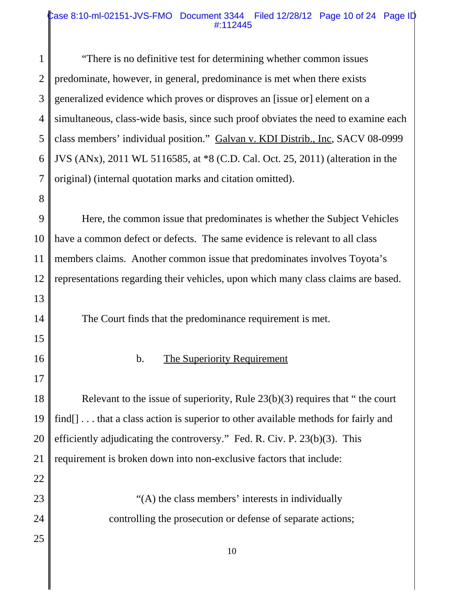#### Case 8:10-ml-02151-JVS-FMO Document 3344 Filed 12/28/12 Page 10 of 24 Page ID #:112445

1 2 3 4 5 6 7 "There is no definitive test for determining whether common issues predominate, however, in general, predominance is met when there exists generalized evidence which proves or disproves an [issue or] element on a simultaneous, class-wide basis, since such proof obviates the need to examine each class members' individual position." Galvan v. KDI Distrib., Inc, SACV 08-0999 JVS (ANx), 2011 WL 5116585, at \*8 (C.D. Cal. Oct. 25, 2011) (alteration in the original) (internal quotation marks and citation omitted).

9 10 11 12 13 Here, the common issue that predominates is whether the Subject Vehicles have a common defect or defects. The same evidence is relevant to all class members claims. Another common issue that predominates involves Toyota's representations regarding their vehicles, upon which many class claims are based.

The Court finds that the predominance requirement is met.

8

14

15

16

17

22

25

b. The Superiority Requirement

18 19 20 21 Relevant to the issue of superiority, Rule 23(b)(3) requires that " the court find[] ... that a class action is superior to other available methods for fairly and efficiently adjudicating the controversy." Fed. R. Civ. P. 23(b)(3). This requirement is broken down into non-exclusive factors that include:

- 23 24 "(A) the class members' interests in individually controlling the prosecution or defense of separate actions;
	- 10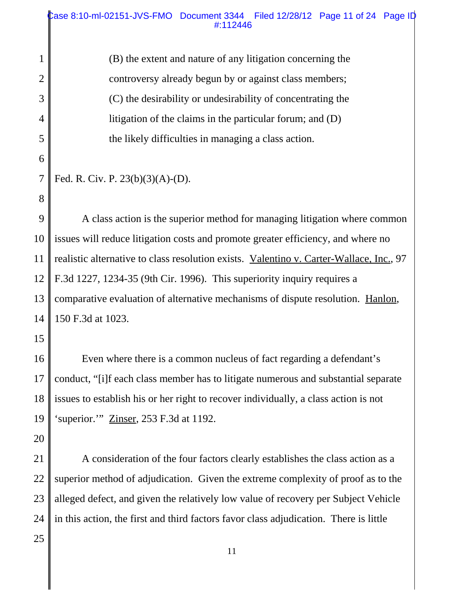2 3 4 5 (B) the extent and nature of any litigation concerning the controversy already begun by or against class members; (C) the desirability or undesirability of concentrating the litigation of the claims in the particular forum; and (D) the likely difficulties in managing a class action.

9 10 11 12 13 14 A class action is the superior method for managing litigation where common issues will reduce litigation costs and promote greater efficiency, and where no realistic alternative to class resolution exists. Valentino v. Carter-Wallace, Inc., 97 F.3d 1227, 1234-35 (9th Cir. 1996). This superiority inquiry requires a comparative evaluation of alternative mechanisms of dispute resolution. Hanlon, 150 F.3d at 1023.

15

1

6

7

8

16 17 18 19 Even where there is a common nucleus of fact regarding a defendant's conduct, "[i]f each class member has to litigate numerous and substantial separate issues to establish his or her right to recover individually, a class action is not 'superior.'" Zinser, 253 F.3d at 1192.

20

21 22 23 24 A consideration of the four factors clearly establishes the class action as a superior method of adjudication. Given the extreme complexity of proof as to the alleged defect, and given the relatively low value of recovery per Subject Vehicle in this action, the first and third factors favor class adjudication. There is little

Fed. R. Civ. P. 23(b)(3)(A)-(D).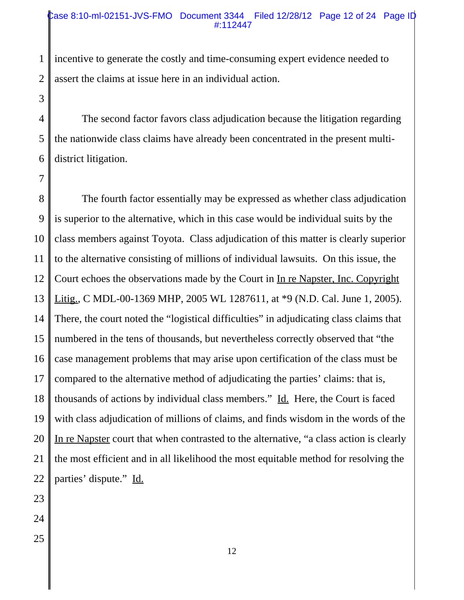#### Case 8:10-ml-02151-JVS-FMO Document 3344 Filed 12/28/12 Page 12 of 24 Page ID #:112447

1 2 incentive to generate the costly and time-consuming expert evidence needed to assert the claims at issue here in an individual action.

4 5 6 The second factor favors class adjudication because the litigation regarding the nationwide class claims have already been concentrated in the present multidistrict litigation.

8 9 10 11 12 13 14 15 16 17 18 19 20 21 22 The fourth factor essentially may be expressed as whether class adjudication is superior to the alternative, which in this case would be individual suits by the class members against Toyota. Class adjudication of this matter is clearly superior to the alternative consisting of millions of individual lawsuits. On this issue, the Court echoes the observations made by the Court in In re Napster, Inc. Copyright Litig., C MDL-00-1369 MHP, 2005 WL 1287611, at \*9 (N.D. Cal. June 1, 2005). There, the court noted the "logistical difficulties" in adjudicating class claims that numbered in the tens of thousands, but nevertheless correctly observed that "the case management problems that may arise upon certification of the class must be compared to the alternative method of adjudicating the parties' claims: that is, thousands of actions by individual class members." Id. Here, the Court is faced with class adjudication of millions of claims, and finds wisdom in the words of the In re Napster court that when contrasted to the alternative, "a class action is clearly the most efficient and in all likelihood the most equitable method for resolving the parties' dispute." Id.

23

3

7

24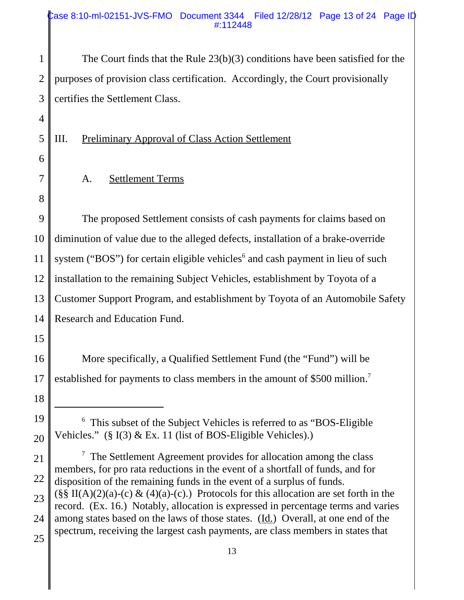#### Case 8:10-ml-02151-JVS-FMO Document 3344 Filed 12/28/12 Page 13 of 24 Page ID #:112448

1 2 3 The Court finds that the Rule 23(b)(3) conditions have been satisfied for the purposes of provision class certification. Accordingly, the Court provisionally certifies the Settlement Class.

III. Preliminary Approval of Class Action Settlement

A. Settlement Terms

9 10 11 12 13 14 The proposed Settlement consists of cash payments for claims based on diminution of value due to the alleged defects, installation of a brake-override system ("BOS") for certain eligible vehicles<sup>6</sup> and cash payment in lieu of such installation to the remaining Subject Vehicles, establishment by Toyota of a Customer Support Program, and establishment by Toyota of an Automobile Safety Research and Education Fund.

15

18

19

20

4

5

6

7

8

16 17 More specifically, a Qualified Settlement Fund (the "Fund") will be established for payments to class members in the amount of \$500 million.<sup>7</sup>

<sup>&</sup>lt;sup>6</sup> This subset of the Subject Vehicles is referred to as "BOS-Eligible Vehicles." (§ I(3) & Ex. 11 (list of BOS-Eligible Vehicles).)

<sup>21</sup> 22 23 24 25  $\frac{7}{7}$  The Settlement Agreement provides for allocation among the class members, for pro rata reductions in the event of a shortfall of funds, and for disposition of the remaining funds in the event of a surplus of funds.  $(\S \S \Pi(A)(2)(a)-(c) \& (4)(a)-(c))$ . Protocols for this allocation are set forth in the record. (Ex. 16.) Notably, allocation is expressed in percentage terms and varies among states based on the laws of those states. (Id.) Overall, at one end of the spectrum, receiving the largest cash payments, are class members in states that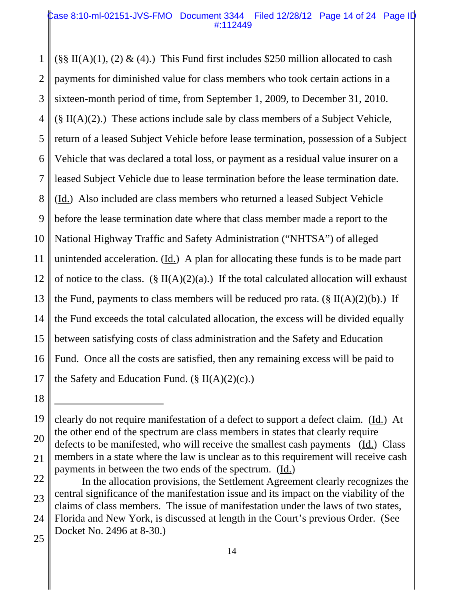#### Case 8:10-ml-02151-JVS-FMO Document 3344 Filed 12/28/12 Page 14 of 24 Page ID #:112449

1 2 3 4 5 6 7 8 9 10 11 12 13 14 15 16 17  $(\S\$  II(A)(1), (2) & (4).) This Fund first includes \$250 million allocated to cash payments for diminished value for class members who took certain actions in a sixteen-month period of time, from September 1, 2009, to December 31, 2010.  $(\S \Pi(A)(2))$ . These actions include sale by class members of a Subject Vehicle, return of a leased Subject Vehicle before lease termination, possession of a Subject Vehicle that was declared a total loss, or payment as a residual value insurer on a leased Subject Vehicle due to lease termination before the lease termination date. (Id.) Also included are class members who returned a leased Subject Vehicle before the lease termination date where that class member made a report to the National Highway Traffic and Safety Administration ("NHTSA") of alleged unintended acceleration.  $(\underline{Id})$  A plan for allocating these funds is to be made part of notice to the class. (§ II(A)(2)(a).) If the total calculated allocation will exhaust the Fund, payments to class members will be reduced pro rata.  $(\S \Pi(A)(2)(b))$ . If the Fund exceeds the total calculated allocation, the excess will be divided equally between satisfying costs of class administration and the Safety and Education Fund. Once all the costs are satisfied, then any remaining excess will be paid to the Safety and Education Fund.  $(\S \Pi(A)(2)(c))$ .

<sup>19</sup> 20 clearly do not require manifestation of a defect to support a defect claim. (Id.) At the other end of the spectrum are class members in states that clearly require defects to be manifested, who will receive the smallest cash payments (Id.) Class

<sup>21</sup> members in a state where the law is unclear as to this requirement will receive cash payments in between the two ends of the spectrum. (Id.)

<sup>22</sup> 23 In the allocation provisions, the Settlement Agreement clearly recognizes the central significance of the manifestation issue and its impact on the viability of the claims of class members. The issue of manifestation under the laws of two states,

<sup>24</sup> Florida and New York, is discussed at length in the Court's previous Order. (See Docket No. 2496 at 8-30.)

<sup>25</sup>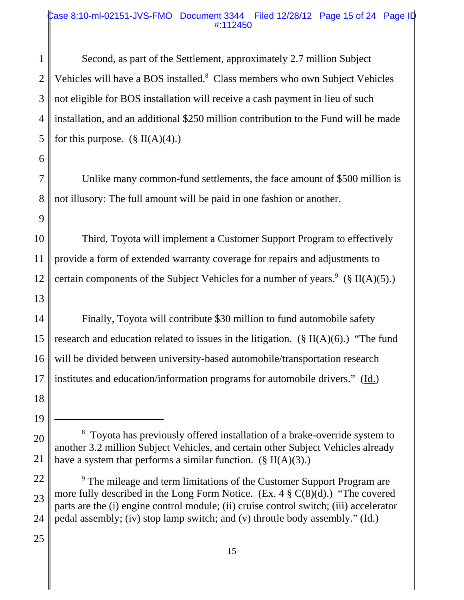#### Case 8:10-ml-02151-JVS-FMO Document 3344 Filed 12/28/12 Page 15 of 24 Page ID #:112450

1 2 3 4 5 Second, as part of the Settlement, approximately 2.7 million Subject Vehicles will have a BOS installed.<sup>8</sup> Class members who own Subject Vehicles not eligible for BOS installation will receive a cash payment in lieu of such installation, and an additional \$250 million contribution to the Fund will be made for this purpose.  $(\S \Pi(A)(4))$ 

7 Unlike many common-fund settlements, the face amount of \$500 million is not illusory: The full amount will be paid in one fashion or another.

10 11 12 Third, Toyota will implement a Customer Support Program to effectively provide a form of extended warranty coverage for repairs and adjustments to certain components of the Subject Vehicles for a number of years.<sup>9</sup> (§ II(A)(5).)

14 15 16 17 Finally, Toyota will contribute \$30 million to fund automobile safety research and education related to issues in the litigation.  $(\S \Pi(A)(6))$  "The fund" will be divided between university-based automobile/transportation research institutes and education/information programs for automobile drivers." (Id.)

6

8

9

13

<sup>18</sup> 19

<sup>20</sup> 21 <sup>8</sup> Toyota has previously offered installation of a brake-override system to another 3.2 million Subject Vehicles, and certain other Subject Vehicles already have a system that performs a similar function.  $(\S \Pi(A)(3))$ .

<sup>22</sup> 23 24 <sup>9</sup> The mileage and term limitations of the Customer Support Program are more fully described in the Long Form Notice.  $(Ex. 4 \S C(8)(d))$  "The covered parts are the (i) engine control module; (ii) cruise control switch; (iii) accelerator pedal assembly; (iv) stop lamp switch; and (v) throttle body assembly." (Id.)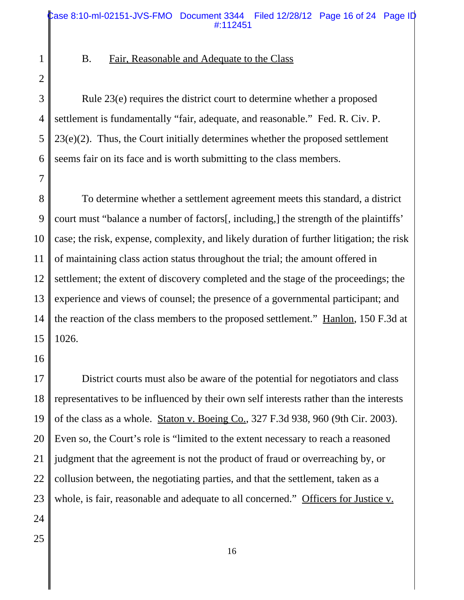2 3

7

1

#### B. Fair, Reasonable and Adequate to the Class

4 5 6 Rule 23(e) requires the district court to determine whether a proposed settlement is fundamentally "fair, adequate, and reasonable." Fed. R. Civ. P. 23(e)(2). Thus, the Court initially determines whether the proposed settlement seems fair on its face and is worth submitting to the class members.

8 9 10 11 12 13 14 15 To determine whether a settlement agreement meets this standard, a district court must "balance a number of factors[, including,] the strength of the plaintiffs' case; the risk, expense, complexity, and likely duration of further litigation; the risk of maintaining class action status throughout the trial; the amount offered in settlement; the extent of discovery completed and the stage of the proceedings; the experience and views of counsel; the presence of a governmental participant; and the reaction of the class members to the proposed settlement." Hanlon, 150 F.3d at 1026.

16

17 18 19 20 21 22 23 24 District courts must also be aware of the potential for negotiators and class representatives to be influenced by their own self interests rather than the interests of the class as a whole. Staton v. Boeing Co., 327 F.3d 938, 960 (9th Cir. 2003). Even so, the Court's role is "limited to the extent necessary to reach a reasoned judgment that the agreement is not the product of fraud or overreaching by, or collusion between, the negotiating parties, and that the settlement, taken as a whole, is fair, reasonable and adequate to all concerned." Officers for Justice v.

16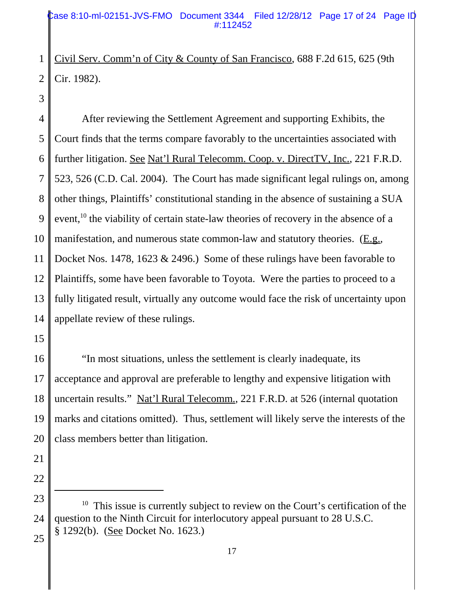#### Case 8:10-ml-02151-JVS-FMO Document 3344 Filed 12/28/12 Page 17 of 24 Page ID #:112452

1 2 Civil Serv. Comm'n of City & County of San Francisco, 688 F.2d 615, 625 (9th Cir. 1982).

3

4 5 6 7 8 9 10 11 12 13 14 After reviewing the Settlement Agreement and supporting Exhibits, the Court finds that the terms compare favorably to the uncertainties associated with further litigation. See Nat'l Rural Telecomm. Coop. v. DirectTV, Inc., 221 F.R.D. 523, 526 (C.D. Cal. 2004). The Court has made significant legal rulings on, among other things, Plaintiffs' constitutional standing in the absence of sustaining a SUA event.<sup>10</sup> the viability of certain state-law theories of recovery in the absence of a manifestation, and numerous state common-law and statutory theories. (E.g., Docket Nos. 1478, 1623 & 2496.) Some of these rulings have been favorable to Plaintiffs, some have been favorable to Toyota. Were the parties to proceed to a fully litigated result, virtually any outcome would face the risk of uncertainty upon appellate review of these rulings.

15

16

17 18 19 20 "In most situations, unless the settlement is clearly inadequate, its acceptance and approval are preferable to lengthy and expensive litigation with uncertain results." Nat'l Rural Telecomm., 221 F.R.D. at 526 (internal quotation marks and citations omitted). Thus, settlement will likely serve the interests of the class members better than litigation.

23 24  $10$  This issue is currently subject to review on the Court's certification of the question to the Ninth Circuit for interlocutory appeal pursuant to 28 U.S.C. § 1292(b). (See Docket No. 1623.)

25

21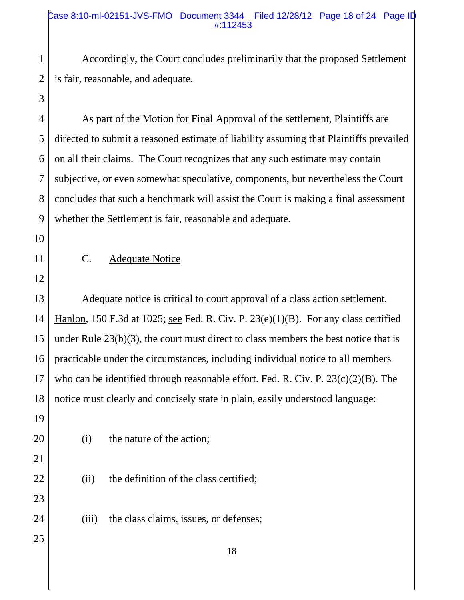#### Case 8:10-ml-02151-JVS-FMO Document 3344 Filed 12/28/12 Page 18 of 24 Page ID #:112453

1 2 Accordingly, the Court concludes preliminarily that the proposed Settlement is fair, reasonable, and adequate.

4 5 6 7 8 9 As part of the Motion for Final Approval of the settlement, Plaintiffs are directed to submit a reasoned estimate of liability assuming that Plaintiffs prevailed on all their claims. The Court recognizes that any such estimate may contain subjective, or even somewhat speculative, components, but nevertheless the Court concludes that such a benchmark will assist the Court is making a final assessment whether the Settlement is fair, reasonable and adequate.

10

3

11

#### C. Adequate Notice

12

13 14 15 16 17 18 Adequate notice is critical to court approval of a class action settlement. Hanlon, 150 F.3d at 1025; see Fed. R. Civ. P. 23(e)(1)(B). For any class certified under Rule  $23(b)(3)$ , the court must direct to class members the best notice that is practicable under the circumstances, including individual notice to all members who can be identified through reasonable effort. Fed. R. Civ. P. 23(c)(2)(B). The notice must clearly and concisely state in plain, easily understood language:

- 19 20 21 22
- (i) the nature of the action;
- (ii) the definition of the class certified;
- (iii) the class claims, issues, or defenses;

25

23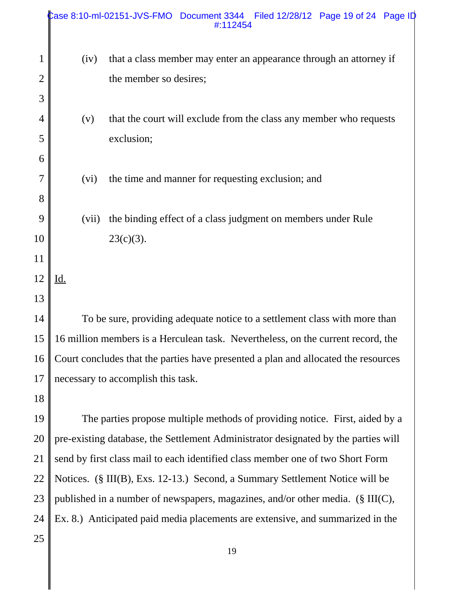| that a class member may enter an appearance through an attorney if<br>$\mathbf 1$<br>(iv)<br>the member so desires;<br>$\overline{2}$<br>3<br>that the court will exclude from the class any member who requests<br>$\overline{4}$<br>(v)<br>exclusion;<br>5<br>6<br>7<br>the time and manner for requesting exclusion; and<br>(vi)<br>8<br>9<br>the binding effect of a class judgment on members under Rule<br>(vii)<br>10<br>$23(c)(3)$ .<br>11<br>12<br>Id.<br>13<br>14<br>To be sure, providing adequate notice to a settlement class with more than<br>16 million members is a Herculean task. Nevertheless, on the current record, the<br>15<br>Court concludes that the parties have presented a plan and allocated the resources<br>16<br>necessary to accomplish this task.<br>17<br>18<br>19<br>The parties propose multiple methods of providing notice. First, aided by a<br>pre-existing database, the Settlement Administrator designated by the parties will<br>20<br>send by first class mail to each identified class member one of two Short Form<br>21<br>Notices. (§ III(B), Exs. 12-13.) Second, a Summary Settlement Notice will be<br>22<br>published in a number of newspapers, magazines, and/or other media. (§ III(C),<br>23<br>Ex. 8.) Anticipated paid media placements are extensive, and summarized in the<br>24 |    |  | Case 8:10-ml-02151-JVS-FMO Document 3344 Filed 12/28/12 Page 19 of 24 Page ID<br>#:112454 |  |  |
|--------------------------------------------------------------------------------------------------------------------------------------------------------------------------------------------------------------------------------------------------------------------------------------------------------------------------------------------------------------------------------------------------------------------------------------------------------------------------------------------------------------------------------------------------------------------------------------------------------------------------------------------------------------------------------------------------------------------------------------------------------------------------------------------------------------------------------------------------------------------------------------------------------------------------------------------------------------------------------------------------------------------------------------------------------------------------------------------------------------------------------------------------------------------------------------------------------------------------------------------------------------------------------------------------------------------------------------------------|----|--|-------------------------------------------------------------------------------------------|--|--|
|                                                                                                                                                                                                                                                                                                                                                                                                                                                                                                                                                                                                                                                                                                                                                                                                                                                                                                                                                                                                                                                                                                                                                                                                                                                                                                                                                  |    |  |                                                                                           |  |  |
|                                                                                                                                                                                                                                                                                                                                                                                                                                                                                                                                                                                                                                                                                                                                                                                                                                                                                                                                                                                                                                                                                                                                                                                                                                                                                                                                                  |    |  |                                                                                           |  |  |
|                                                                                                                                                                                                                                                                                                                                                                                                                                                                                                                                                                                                                                                                                                                                                                                                                                                                                                                                                                                                                                                                                                                                                                                                                                                                                                                                                  |    |  |                                                                                           |  |  |
|                                                                                                                                                                                                                                                                                                                                                                                                                                                                                                                                                                                                                                                                                                                                                                                                                                                                                                                                                                                                                                                                                                                                                                                                                                                                                                                                                  |    |  |                                                                                           |  |  |
|                                                                                                                                                                                                                                                                                                                                                                                                                                                                                                                                                                                                                                                                                                                                                                                                                                                                                                                                                                                                                                                                                                                                                                                                                                                                                                                                                  |    |  |                                                                                           |  |  |
|                                                                                                                                                                                                                                                                                                                                                                                                                                                                                                                                                                                                                                                                                                                                                                                                                                                                                                                                                                                                                                                                                                                                                                                                                                                                                                                                                  |    |  |                                                                                           |  |  |
|                                                                                                                                                                                                                                                                                                                                                                                                                                                                                                                                                                                                                                                                                                                                                                                                                                                                                                                                                                                                                                                                                                                                                                                                                                                                                                                                                  |    |  |                                                                                           |  |  |
|                                                                                                                                                                                                                                                                                                                                                                                                                                                                                                                                                                                                                                                                                                                                                                                                                                                                                                                                                                                                                                                                                                                                                                                                                                                                                                                                                  |    |  |                                                                                           |  |  |
|                                                                                                                                                                                                                                                                                                                                                                                                                                                                                                                                                                                                                                                                                                                                                                                                                                                                                                                                                                                                                                                                                                                                                                                                                                                                                                                                                  |    |  |                                                                                           |  |  |
|                                                                                                                                                                                                                                                                                                                                                                                                                                                                                                                                                                                                                                                                                                                                                                                                                                                                                                                                                                                                                                                                                                                                                                                                                                                                                                                                                  |    |  |                                                                                           |  |  |
|                                                                                                                                                                                                                                                                                                                                                                                                                                                                                                                                                                                                                                                                                                                                                                                                                                                                                                                                                                                                                                                                                                                                                                                                                                                                                                                                                  |    |  |                                                                                           |  |  |
|                                                                                                                                                                                                                                                                                                                                                                                                                                                                                                                                                                                                                                                                                                                                                                                                                                                                                                                                                                                                                                                                                                                                                                                                                                                                                                                                                  |    |  |                                                                                           |  |  |
|                                                                                                                                                                                                                                                                                                                                                                                                                                                                                                                                                                                                                                                                                                                                                                                                                                                                                                                                                                                                                                                                                                                                                                                                                                                                                                                                                  |    |  |                                                                                           |  |  |
|                                                                                                                                                                                                                                                                                                                                                                                                                                                                                                                                                                                                                                                                                                                                                                                                                                                                                                                                                                                                                                                                                                                                                                                                                                                                                                                                                  |    |  |                                                                                           |  |  |
|                                                                                                                                                                                                                                                                                                                                                                                                                                                                                                                                                                                                                                                                                                                                                                                                                                                                                                                                                                                                                                                                                                                                                                                                                                                                                                                                                  |    |  |                                                                                           |  |  |
|                                                                                                                                                                                                                                                                                                                                                                                                                                                                                                                                                                                                                                                                                                                                                                                                                                                                                                                                                                                                                                                                                                                                                                                                                                                                                                                                                  |    |  |                                                                                           |  |  |
|                                                                                                                                                                                                                                                                                                                                                                                                                                                                                                                                                                                                                                                                                                                                                                                                                                                                                                                                                                                                                                                                                                                                                                                                                                                                                                                                                  |    |  |                                                                                           |  |  |
|                                                                                                                                                                                                                                                                                                                                                                                                                                                                                                                                                                                                                                                                                                                                                                                                                                                                                                                                                                                                                                                                                                                                                                                                                                                                                                                                                  |    |  |                                                                                           |  |  |
|                                                                                                                                                                                                                                                                                                                                                                                                                                                                                                                                                                                                                                                                                                                                                                                                                                                                                                                                                                                                                                                                                                                                                                                                                                                                                                                                                  |    |  |                                                                                           |  |  |
|                                                                                                                                                                                                                                                                                                                                                                                                                                                                                                                                                                                                                                                                                                                                                                                                                                                                                                                                                                                                                                                                                                                                                                                                                                                                                                                                                  |    |  |                                                                                           |  |  |
|                                                                                                                                                                                                                                                                                                                                                                                                                                                                                                                                                                                                                                                                                                                                                                                                                                                                                                                                                                                                                                                                                                                                                                                                                                                                                                                                                  |    |  |                                                                                           |  |  |
|                                                                                                                                                                                                                                                                                                                                                                                                                                                                                                                                                                                                                                                                                                                                                                                                                                                                                                                                                                                                                                                                                                                                                                                                                                                                                                                                                  |    |  |                                                                                           |  |  |
|                                                                                                                                                                                                                                                                                                                                                                                                                                                                                                                                                                                                                                                                                                                                                                                                                                                                                                                                                                                                                                                                                                                                                                                                                                                                                                                                                  |    |  |                                                                                           |  |  |
|                                                                                                                                                                                                                                                                                                                                                                                                                                                                                                                                                                                                                                                                                                                                                                                                                                                                                                                                                                                                                                                                                                                                                                                                                                                                                                                                                  |    |  |                                                                                           |  |  |
| 19                                                                                                                                                                                                                                                                                                                                                                                                                                                                                                                                                                                                                                                                                                                                                                                                                                                                                                                                                                                                                                                                                                                                                                                                                                                                                                                                               | 25 |  |                                                                                           |  |  |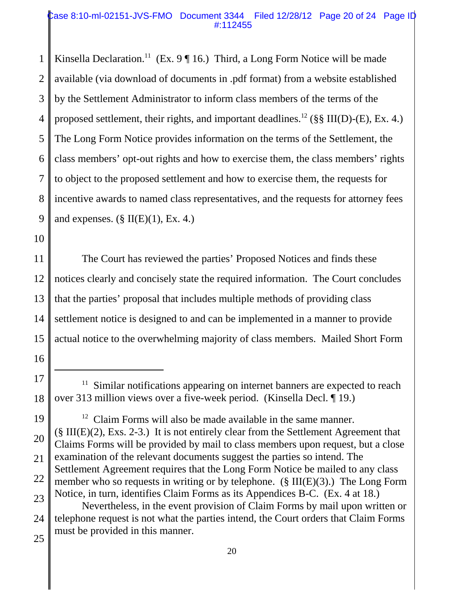#### Case 8:10-ml-02151-JVS-FMO Document 3344 Filed 12/28/12 Page 20 of 24 Page ID #:112455

1 2 3 4 5 6 7 8 9 Kinsella Declaration.<sup>11</sup> (Ex. 9  $\P$  16.) Third, a Long Form Notice will be made available (via download of documents in .pdf format) from a website established by the Settlement Administrator to inform class members of the terms of the proposed settlement, their rights, and important deadlines.<sup>12</sup> (§§ III(D)-(E), Ex. 4.) The Long Form Notice provides information on the terms of the Settlement, the class members' opt-out rights and how to exercise them, the class members' rights to object to the proposed settlement and how to exercise them, the requests for incentive awards to named class representatives, and the requests for attorney fees and expenses.  $(\S \Pi(E)(1), Ex. 4.)$ 

10

16

11 12 13 14 15 The Court has reviewed the parties' Proposed Notices and finds these notices clearly and concisely state the required information. The Court concludes that the parties' proposal that includes multiple methods of providing class settlement notice is designed to and can be implemented in a manner to provide actual notice to the overwhelming majority of class members. Mailed Short Form

<sup>17</sup> 18 Similar notifications appearing on internet banners are expected to reach over 313 million views over a five-week period. (Kinsella Decl. ¶ 19.)

<sup>19</sup> 20 21 22 23  $12$  Claim Forms will also be made available in the same manner. (§ III(E)(2), Exs. 2-3.) It is not entirely clear from the Settlement Agreement that Claims Forms will be provided by mail to class members upon request, but a close examination of the relevant documents suggest the parties so intend. The Settlement Agreement requires that the Long Form Notice be mailed to any class member who so requests in writing or by telephone. ( $\S$  III(E)(3).) The Long Form Notice, in turn, identifies Claim Forms as its Appendices B-C. (Ex. 4 at 18.)

<sup>24</sup> 25 Nevertheless, in the event provision of Claim Forms by mail upon written or telephone request is not what the parties intend, the Court orders that Claim Forms must be provided in this manner.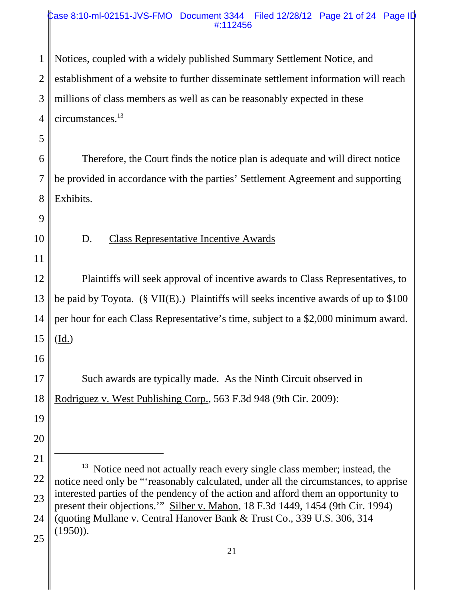#### Case 8:10-ml-02151-JVS-FMO Document 3344 Filed 12/28/12 Page 21 of 24 Page ID #:112456

1 2 3 4 Notices, coupled with a widely published Summary Settlement Notice, and establishment of a website to further disseminate settlement information will reach millions of class members as well as can be reasonably expected in these circumstances.13

5

7

6 8 Therefore, the Court finds the notice plan is adequate and will direct notice be provided in accordance with the parties' Settlement Agreement and supporting Exhibits.

9

10

### D. Class Representative Incentive Awards

11

12 13 14 15 Plaintiffs will seek approval of incentive awards to Class Representatives, to be paid by Toyota. (§ VII(E).) Plaintiffs will seeks incentive awards of up to \$100 per hour for each Class Representative's time, subject to a \$2,000 minimum award. (Id.)

16

17 18 Such awards are typically made. As the Ninth Circuit observed in Rodriguez v. West Publishing Corp., 563 F.3d 948 (9th Cir. 2009):

20

19

<sup>22</sup> 23 24 25 <sup>13</sup> Notice need not actually reach every single class member; instead, the notice need only be "'reasonably calculated, under all the circumstances, to apprise interested parties of the pendency of the action and afford them an opportunity to present their objections.'" Silber v. Mabon, 18 F.3d 1449, 1454 (9th Cir. 1994) (quoting Mullane v. Central Hanover Bank & Trust Co., 339 U.S. 306, 314  $(1950)$ ).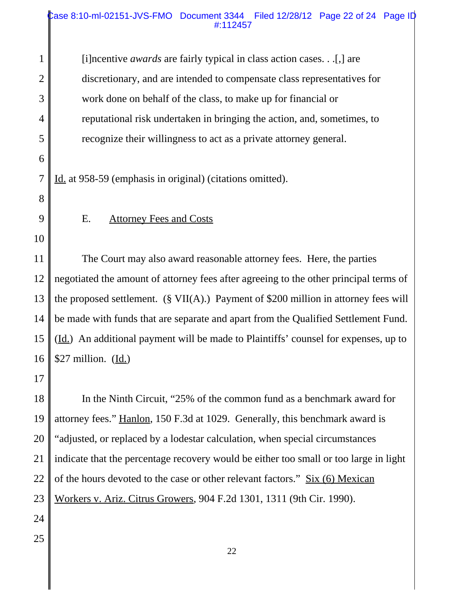#### Case 8:10-ml-02151-JVS-FMO Document 3344 Filed 12/28/12 Page 22 of 24 Page ID #:112457

1 2 3 4 5 6 7 8 9 10 11 12 13 14 15 16 17 18 19 20 21 22 23 24 25 22 [i]ncentive *awards* are fairly typical in class action cases. . .[,] are discretionary, and are intended to compensate class representatives for work done on behalf of the class, to make up for financial or reputational risk undertaken in bringing the action, and, sometimes, to recognize their willingness to act as a private attorney general. Id. at 958-59 (emphasis in original) (citations omitted). E. Attorney Fees and Costs The Court may also award reasonable attorney fees. Here, the parties negotiated the amount of attorney fees after agreeing to the other principal terms of the proposed settlement. (§ VII(A).) Payment of \$200 million in attorney fees will be made with funds that are separate and apart from the Qualified Settlement Fund. (Id.) An additional payment will be made to Plaintiffs' counsel for expenses, up to \$27 million.  $(\underline{Id.})$ In the Ninth Circuit, "25% of the common fund as a benchmark award for attorney fees." Hanlon, 150 F.3d at 1029. Generally, this benchmark award is "adjusted, or replaced by a lodestar calculation, when special circumstances indicate that the percentage recovery would be either too small or too large in light of the hours devoted to the case or other relevant factors." Six (6) Mexican Workers v. Ariz. Citrus Growers, 904 F.2d 1301, 1311 (9th Cir. 1990).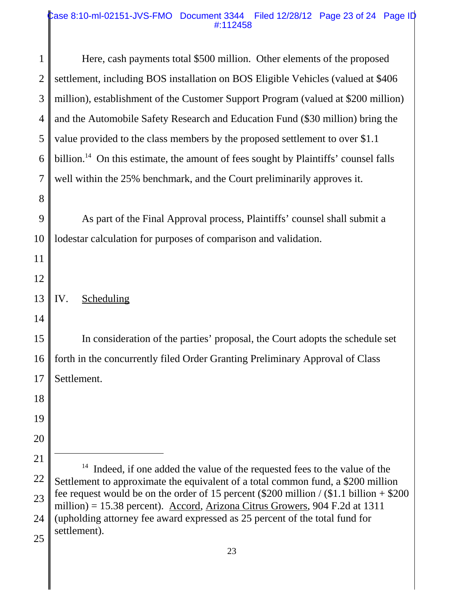#### Case 8:10-ml-02151-JVS-FMO Document 3344 Filed 12/28/12 Page 23 of 24 Page ID #:112458

| $\mathbf{1}$   | Here, cash payments total \$500 million. Other elements of the proposed                                                                                                     |  |
|----------------|-----------------------------------------------------------------------------------------------------------------------------------------------------------------------------|--|
| $\overline{2}$ | settlement, including BOS installation on BOS Eligible Vehicles (valued at \$406)                                                                                           |  |
| 3              | million), establishment of the Customer Support Program (valued at \$200 million)                                                                                           |  |
| $\overline{4}$ | and the Automobile Safety Research and Education Fund (\$30 million) bring the                                                                                              |  |
| 5              | value provided to the class members by the proposed settlement to over \$1.1                                                                                                |  |
| 6              | billion. <sup>14</sup> On this estimate, the amount of fees sought by Plaintiffs' counsel falls                                                                             |  |
| $\overline{7}$ | well within the 25% benchmark, and the Court preliminarily approves it.                                                                                                     |  |
| 8              |                                                                                                                                                                             |  |
| 9              | As part of the Final Approval process, Plaintiffs' counsel shall submit a                                                                                                   |  |
| 10             | lodestar calculation for purposes of comparison and validation.                                                                                                             |  |
| 11             |                                                                                                                                                                             |  |
| 12             |                                                                                                                                                                             |  |
| 13             | <b>Scheduling</b><br>IV.                                                                                                                                                    |  |
| 14             |                                                                                                                                                                             |  |
| 15             | In consideration of the parties' proposal, the Court adopts the schedule set                                                                                                |  |
| 16             | forth in the concurrently filed Order Granting Preliminary Approval of Class                                                                                                |  |
| 17             | Settlement.                                                                                                                                                                 |  |
| 18             |                                                                                                                                                                             |  |
| 19             |                                                                                                                                                                             |  |
| 20             |                                                                                                                                                                             |  |
| 21             |                                                                                                                                                                             |  |
| 22             | Indeed, if one added the value of the requested fees to the value of the<br>Settlement to approximate the equivalent of a total common fund, a \$200 million                |  |
| 23             | fee request would be on the order of 15 percent $(\$200$ million / $\$1.1$ billion + $\$200$<br>million) = 15.38 percent). Accord, Arizona Citrus Growers, 904 F.2d at 1311 |  |
| 24             | (upholding attorney fee award expressed as 25 percent of the total fund for                                                                                                 |  |
| 25             | settlement).                                                                                                                                                                |  |